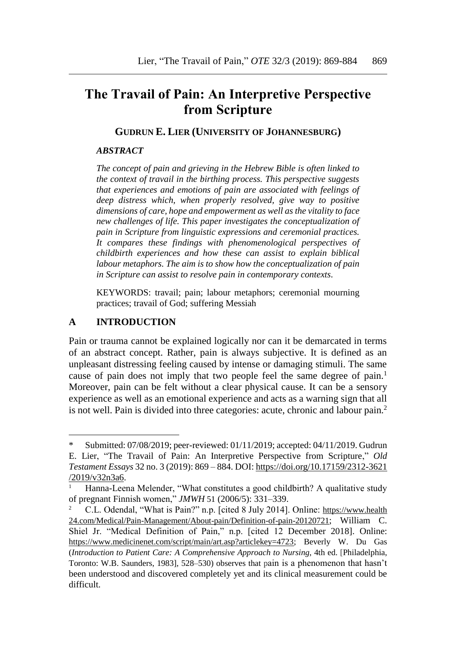# **The Travail of Pain: An Interpretive Perspective from Scripture**

**GUDRUN E. LIER (UNIVERSITY OF JOHANNESBURG)**

#### *ABSTRACT*

*The concept of pain and grieving in the Hebrew Bible is often linked to the context of travail in the birthing process. This perspective suggests that experiences and emotions of pain are associated with feelings of deep distress which, when properly resolved, give way to positive dimensions of care, hope and empowerment as well as the vitality to face new challenges of life. This paper investigates the conceptualization of pain in Scripture from linguistic expressions and ceremonial practices. It compares these findings with phenomenological perspectives of childbirth experiences and how these can assist to explain biblical labour metaphors. The aim is to show how the conceptualization of pain in Scripture can assist to resolve pain in contemporary contexts.*

KEYWORDS: travail; pain; labour metaphors; ceremonial mourning practices; travail of God; suffering Messiah

#### **A INTRODUCTION**

Pain or trauma cannot be explained logically nor can it be demarcated in terms of an abstract concept. Rather, pain is always subjective. It is defined as an unpleasant distressing feeling caused by intense or damaging stimuli. The same cause of pain does not imply that two people feel the same degree of pain.<sup>1</sup> Moreover, pain can be felt without a clear physical cause. It can be a sensory experience as well as an emotional experience and acts as a warning sign that all is not well. Pain is divided into three categories: acute, chronic and labour pain.<sup>2</sup>

<sup>\*</sup> Submitted: 07/08/2019; peer-reviewed: 01/11/2019; accepted: 04/11/2019. Gudrun E. Lier, "The Travail of Pain: An Interpretive Perspective from Scripture," *Old Testament Essays* 32 no. 3 (2019): 869 – 884. DOI: [https://doi.org/10.17159/2312-3621](https://doi.org/10.17159/2312-3621%20/2019/v32n3a6)  [/2019/v32n3a6.](https://doi.org/10.17159/2312-3621%20/2019/v32n3a6)

Hanna-Leena Melender, "What constitutes a good childbirth? A qualitative study of pregnant Finnish women," *JMWH* 51 (2006/5): 331–339.

<sup>2</sup> C.L. Odendal, "What is Pain?" n.p. [cited 8 July 2014]. Online: https://www.health 24.com/Medical/Pain-Management/About-pain/Definition-of-pain-20120721; William C. Shiel Jr. "Medical Definition of Pain," n.p. [cited 12 December 2018]. Online: [https://www.medicinenet.com/script/main/art.asp?articlekey=4723;](https://www.medicinenet.com/script/main/art.asp?articlekey=4723) Beverly W. Du Gas (*Introduction to Patient Care: A Comprehensive Approach to Nursing*, 4th ed. [Philadelphia, Toronto: W.B. Saunders, 1983], 528–530) observes that pain is a phenomenon that hasn't been understood and discovered completely yet and its clinical measurement could be difficult.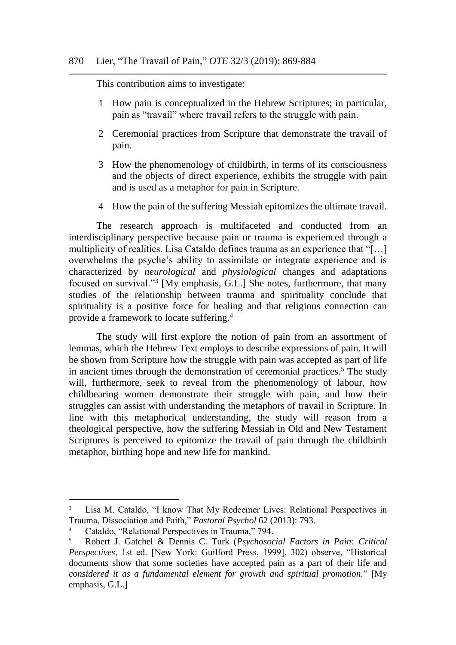This contribution aims to investigate:

- 1 How pain is conceptualized in the Hebrew Scriptures; in particular, pain as "travail" where travail refers to the struggle with pain.
- 2 Ceremonial practices from Scripture that demonstrate the travail of pain.
- 3 How the phenomenology of childbirth, in terms of its consciousness and the objects of direct experience, exhibits the struggle with pain and is used as a metaphor for pain in Scripture.
- 4 How the pain of the suffering Messiah epitomizes the ultimate travail.

The research approach is multifaceted and conducted from an interdisciplinary perspective because pain or trauma is experienced through a multiplicity of realities. Lisa Cataldo defines trauma as an experience that "[…] overwhelms the psyche's ability to assimilate or integrate experience and is characterized by *neurological* and *physiological* changes and adaptations focused on survival."<sup>3</sup> [My emphasis, G.L.] She notes, furthermore, that many studies of the relationship between trauma and spirituality conclude that spirituality is a positive force for healing and that religious connection can provide a framework to locate suffering.<sup>4</sup>

The study will first explore the notion of pain from an assortment of lemmas, which the Hebrew Text employs to describe expressions of pain. It will be shown from Scripture how the struggle with pain was accepted as part of life in ancient times through the demonstration of ceremonial practices.<sup>5</sup> The study will, furthermore, seek to reveal from the phenomenology of labour, how childbearing women demonstrate their struggle with pain, and how their struggles can assist with understanding the metaphors of travail in Scripture. In line with this metaphorical understanding, the study will reason from a theological perspective, how the suffering Messiah in Old and New Testament Scriptures is perceived to epitomize the travail of pain through the childbirth metaphor, birthing hope and new life for mankind.

l

<sup>&</sup>lt;sup>3</sup> Lisa M. Cataldo, "I know That My Redeemer Lives: Relational Perspectives in Trauma, Dissociation and Faith," *Pastoral Psychol* 62 (2013): 793.

<sup>&</sup>lt;sup>4</sup> Cataldo, "Relational Perspectives in Trauma," 794.<br><sup>5</sup> Robert J. Gatchel & Dennis C. Turk (*Psychosoc* 

<sup>5</sup> Robert J. Gatchel & Dennis C. Turk (*Psychosocial Factors in Pain: Critical Perspectives*, 1st ed. [New York: Guilford Press, 1999], 302) observe, "Historical documents show that some societies have accepted pain as a part of their life and *considered it as a fundamental element for growth and spiritual promotion.*" [My emphasis, G.L.]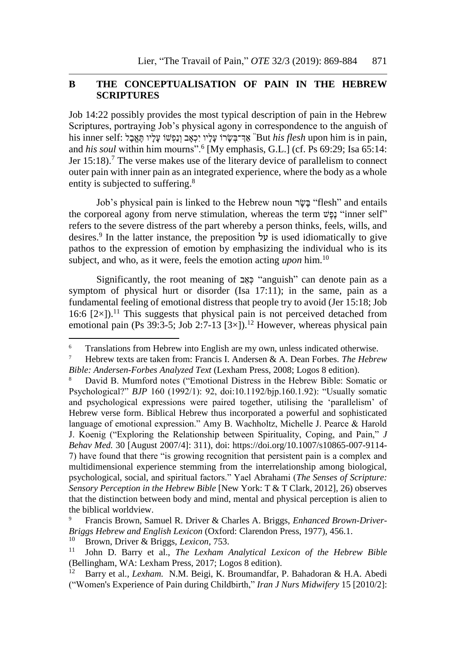#### **B THE CONCEPTUALISATION OF PAIN IN THE HEBREW SCRIPTURES**

Job 14:22 possibly provides the most typical description of pain in the Hebrew Scriptures, portraying Job's physical agony in correspondence to the anguish of his inner self: אַ יִּרְבְּשֵׂרוֹ עֲלָיו יִכְאָב וְנַפְּשׁוֹ עָלִיו תָּאֲבַל impain, "But his flesh upon him is in pain and *his soul* within him mourns".<sup>6</sup> [My emphasis, G.L.] (cf. Ps 69:29; Isa 65:14: Jer 15:18).<sup>7</sup> The verse makes use of the literary device of parallelism to connect outer pain with inner pain as an integrated experience, where the body as a whole entity is subjected to suffering.<sup>8</sup>

Job's physical pain is linked to the Hebrew noun בָּשֶׂר "flesh" and entails the corporeal agony from nerve stimulation, whereas the term שֶּׁפֶּנ" inner self" refers to the severe distress of the part whereby a person thinks, feels, wills, and desires.<sup>9</sup> In the latter instance, the preposition על is used idiomatically to give pathos to the expression of emotion by emphasizing the individual who is its subject, and who, as it were, feels the emotion acting *upon* him.<sup>10</sup>

Significantly, the root meaning of כְּאֵב "anguish" can denote pain as a symptom of physical hurt or disorder (Isa 17:11); in the same, pain as a fundamental feeling of emotional distress that people try to avoid (Jer 15:18; Job 16:6  $[2 \times]$ ).<sup>11</sup> This suggests that physical pain is not perceived detached from emotional pain (Ps 39:3-5; Job 2:7-13  $[3\times]$ ).<sup>12</sup> However, whereas physical pain

<sup>&</sup>lt;sup>6</sup> Translations from Hebrew into English are my own, unless indicated otherwise.

<sup>7</sup> Hebrew texts are taken from: Francis I. Andersen & A. Dean Forbes. *The Hebrew Bible: Andersen-Forbes Analyzed Text* (Lexham Press, 2008; Logos 8 edition).

<sup>8</sup> David B. Mumford notes ("Emotional Distress in the Hebrew Bible: Somatic or Psychological?" *BJP* 160 (1992/1): 92, doi:10.1192/bjp.160.1.92): "Usually somatic and psychological expressions were paired together, utilising the 'parallelism' of Hebrew verse form. Biblical Hebrew thus incorporated a powerful and sophisticated language of emotional expression." Amy B. Wachholtz, Michelle J. Pearce & Harold J. Koenig ("Exploring the Relationship between Spirituality, Coping, and Pain," *J Behav Med.* 30 [August 2007/4]: 311), doi: https://doi.org/10.1007/s10865-007-9114- 7) have found that there "is growing recognition that persistent pain is a complex and multidimensional experience stemming from the interrelationship among biological, psychological, social, and spiritual factors." Yael Abrahami (*The Senses of Scripture: Sensory Perception in the Hebrew Bible* [New York: T & T Clark, 2012], 26) observes that the distinction between body and mind, mental and physical perception is alien to the biblical worldview.

<sup>9</sup> Francis Brown, Samuel R. Driver & Charles A. Briggs, *[Enhanced Brown-Driver-](https://ref.ly/logosres/bdb?ref=BrownDriverBriggs.BDB+753.2&off=585&ctx=%D7%99%D6%B4%D7%A9%D7%81%D6%B0%D7%A2%D6%B4%D7%99+%D7%95%D6%BC%D7%9B%D6%B0%D7%91%D6%B9%D7%93%D6%B4%D7%99.%0a~d.+%D7%A2%D7%9C+is+used+idiom.)[Briggs Hebrew and English Lexicon](https://ref.ly/logosres/bdb?ref=BrownDriverBriggs.BDB+753.2&off=585&ctx=%D7%99%D6%B4%D7%A9%D7%81%D6%B0%D7%A2%D6%B4%D7%99+%D7%95%D6%BC%D7%9B%D6%B0%D7%91%D6%B9%D7%93%D6%B4%D7%99.%0a~d.+%D7%A2%D7%9C+is+used+idiom.)* (Oxford: Clarendon Press, 1977), 456.1.

<sup>10</sup> Brown, Driver & Briggs, *Lexicon,* 753.

<sup>11</sup> John D. Barry et al., *[The Lexham Analytical Lexicon of the Hebrew Bible](https://ref.ly/logosres/lxhebanlex?hw=%D7%9B%D6%BC%D6%B0%D7%90%D6%B5%D7%91&off=171&ctx=ain+(emotional)+n.%2c+~emotional+distress+t)* (Bellingham, WA: Lexham Press, 2017; Logos 8 edition).

<sup>12</sup> [Barry et al.](https://ref.ly/logosres/lxhebanlex?hw=%D7%9B%D6%BC%D6%B0%D7%90%D6%B5%D7%91&off=71&ctx=%D6%B7%D7%9B%D6%B0%D7%90%D6%B9%D7%91%0aBible+Senses%0a~anguish+n.%2c+extreme+)*, Lexham.* N.M. Beigi, K. Broumandfar, P. Bahadoran & H.A. Abedi ("Women's Experience of Pain during Childbirth," *Iran J Nurs Midwifery* 15 [2010/2]: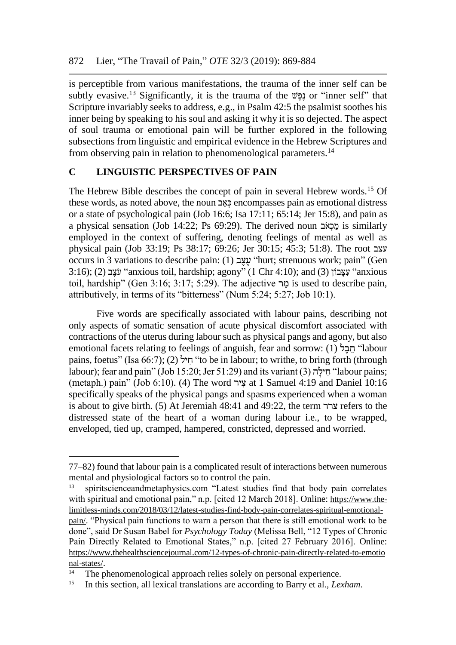is perceptible from various manifestations, the trauma of the inner self can be subtly evasive.<sup>13</sup> Significantly, it is the trauma of the שֶּׁפֶּנ or "inner self" that Scripture invariably seeks to address, e.g., in Psalm 42:5 the psalmist soothes his inner being by speaking to his soul and asking it why it is so dejected. The aspect of soul trauma or emotional pain will be further explored in the following subsections from linguistic and empirical evidence in the Hebrew Scriptures and from observing pain in relation to phenomenological parameters.<sup>14</sup>

#### **C LINGUISTIC PERSPECTIVES OF PAIN**

The Hebrew Bible describes the concept of pain in several Hebrew words.<sup>15</sup> Of these words, as noted above, the noun כְּאֵב encompasses pain as emotional distress or a state of psychological pain (Job 16:6; Isa 17:11; 65:14; Jer 15:8), and pain as a physical sensation (Job 14:22; Ps 69:29). The derived noun בְּכָאׂב is similarly employed in the context of suffering, denoting feelings of mental as well as physical pain (Job 33:19; Ps 38:17; 69:26; Jer 30:15; 45:3; 51:8). The root עצב occurs in 3 variations to describe pain: (1) ב ֶצ ֶע" hurt; strenuous work; pain" (Gen  $3:16$ ); (2) עָצָבוֹן "anxious toil, hardship; agony" (1 Chr 4:10); and (3) עִצָּבוֹן "anxious toil, hardship" (Gen 3:16; 3:17; 5:29). The adjective הו $\alpha$  is used to describe pain, attributively, in terms of its "bitterness" (Num 5:24; 5:27; Job 10:1).

Five words are specifically associated with labour pains, describing not only aspects of somatic sensation of acute physical discomfort associated with contractions of the uterus during laboursuch as physical pangs and agony, but also emotional facets relating to feelings of anguish, fear and sorrow: (1) חבל "labour" pains, foetus" (Isa 66:7); (2) יְחֵיל (to be in labour; to writhe, to bring forth (through labour); fear and pain" (Job 15:20; Jer 51:29) and its variant (3) חילה "labour pains; (metaph.) pain" (Job 6:10). (4) The word יר ִצ at 1 Samuel 4:19 and Daniel 10:16 specifically speaks of the physical pangs and spasms experienced when a woman is about to give birth. (5) At Jeremiah 48:41 and 49:22, the term צרר refers to the distressed state of the heart of a woman during labour i.e., to be wrapped, enveloped, tied up, cramped, hampered, constricted, depressed and worried.

<sup>77–82)</sup> found that labour pain is a complicated result of interactions between numerous mental and physiological factors so to control the pain.

<sup>&</sup>lt;sup>13</sup> spiritscienceandmetaphysics.com "Latest studies find that body pain correlates with spiritual and emotional pain," n.p. [cited 12 March 2018]. Online: [https://www.the](https://www.the-limitless-minds.com/2018/03/12/latest-studies-find-body-pain-correlates-spiritual-emotional-pain/)[limitless-minds.com/2018/03/12/latest-studies-find-body-pain-correlates-spiritual-emotional](https://www.the-limitless-minds.com/2018/03/12/latest-studies-find-body-pain-correlates-spiritual-emotional-pain/)[pain/](https://www.the-limitless-minds.com/2018/03/12/latest-studies-find-body-pain-correlates-spiritual-emotional-pain/). "Physical pain functions to warn a person that there is still emotional work to be done", said Dr Susan Babel for *Psychology Today* (Melissa Bell, "12 Types of Chronic Pain Directly Related to Emotional States," n.p. [cited 27 February 2016]. Online: [https://www.thehealthsciencejournal.com/12-types-of-chronic-pain-directly-related-to-emotio](https://www.thehealthsciencejournal.com/12-types-of-chronic-pain-directly-related-to-emotio%20nal-states/)  [nal-states/](https://www.thehealthsciencejournal.com/12-types-of-chronic-pain-directly-related-to-emotio%20nal-states/).

<sup>&</sup>lt;sup>14</sup> The phenomenological approach relies solely on personal experience.

<sup>15</sup> In this section, all lexical translations are according to Barry et al., *Lexham*.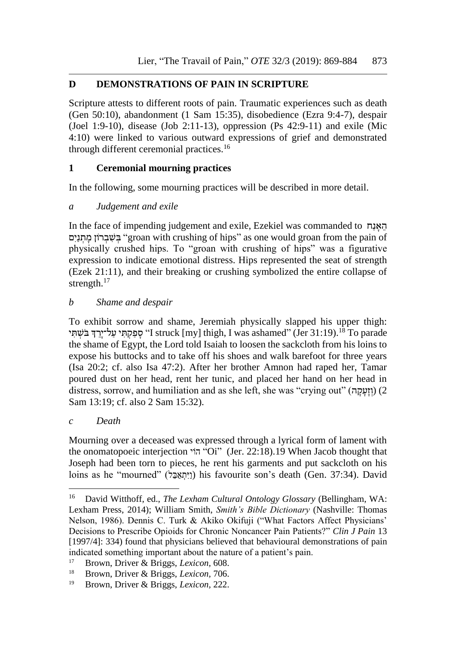# **D DEMONSTRATIONS OF PAIN IN SCRIPTURE**

Scripture attests to different roots of pain. Traumatic experiences such as death (Gen 50:10), abandonment (1 Sam 15:35), disobedience (Ezra 9:4-7), despair (Joel 1:9-10), disease (Job 2:11-13), oppression (Ps 42:9-11) and exile (Mic 4:10) were linked to various outward expressions of grief and demonstrated through different ceremonial practices.<sup>16</sup>

# **1 Ceremonial mourning practices**

In the following, some mourning practices will be described in more detail.

## *a Judgement and exile*

In the face of impending judgement and exile, Ezekiel was commanded to האָנָה בִּשְׁבָרוֹן מַתְנַיִם "groan with crushing of hips" as one would groan from the pain of physically crushed hips. To "groan with crushing of hips" was a figurative expression to indicate emotional distress. Hips represented the seat of strength (Ezek 21:11), and their breaking or crushing symbolized the entire collapse of strength.<sup>17</sup>

## *b Shame and despair*

To exhibit sorrow and shame, Jeremiah physically slapped his upper thigh: י סָפַקְתְּי עַל־יַיֲךָ בֹּשְׁתִּי (Jer 31:19).<sup>18</sup> To parade "Jer 31:19" (Jer 31:19) the shame of Egypt, the Lord told Isaiah to loosen the sackcloth from his loins to expose his buttocks and to take off his shoes and walk barefoot for three years (Isa 20:2; cf. also Isa 47:2). After her brother Amnon had raped her, Tamar poured dust on her head, rent her tunic, and placed her hand on her head in distress, sorrow, and humiliation and as she left, she was "crying out" (וזעקה) (2 Sam 13:19; cf. also 2 Sam 15:32).

## *c Death*

 $\overline{a}$ 

Mourning over a deceased was expressed through a lyrical form of lament with the onomatopoeic interjection ויֹה" Oi" (Jer. 22:18).19 When Jacob thought that Joseph had been torn to pieces, he rent his garments and put sackcloth on his loins as he "mourned" (ו<sub>'</sub>תאבל) his favourite son's death (Gen. 37:34). David

<sup>16</sup> David Witthoff, ed., *[The Lexham Cultural Ontology Glossary](https://ref.ly/logosres/lxhmglssryntlgy?hw=Wailing&off=19&ctx=Wailing%0aDefinition%0a~Vocalizing+grief+thro)* (Bellingham, WA: Lexham Press, 2014); William Smith, *[Smith's Bible Dictionary](https://ref.ly/logosres/smiths?hw=Mourning&off=249&ctx=g+may+be+mentioned%3a+~(a)+Rending+the+clot)* (Nashville: Thomas Nelson, 1986). Dennis C. Turk & Akiko Okifuji ("What Factors Affect Physicians' Decisions to Prescribe Opioids for Chronic Noncancer Pain Patients?" *Clin J Pain* 13 [1997/4]: 334) found that physicians believed that behavioural demonstrations of pain indicated something important about the nature of a patient's pain.

<sup>17</sup> Brown, Driver & Briggs, *Lexicon,* 608.

<sup>18</sup> Brown, Driver & Briggs, *Lexicon,* 706.

<sup>19</sup> Brown, Driver & Briggs, *Lexicon,* 222.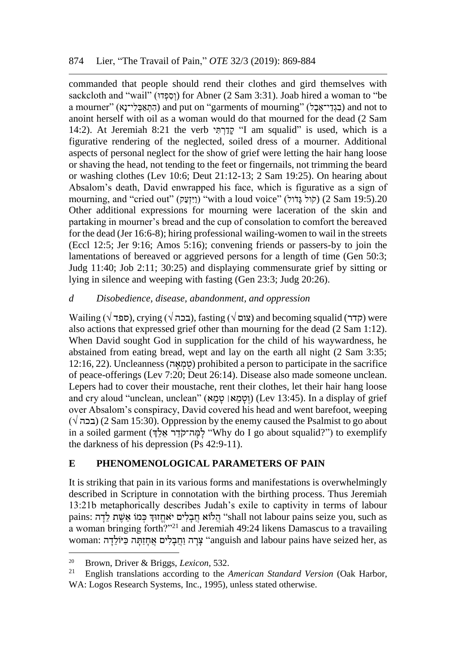commanded that people should rend their clothes and gird themselves with sackcloth and "wail" (וְסָפְּדוּ) for Abner (2 Sam 3:31). Joab hired a woman to "be a mourner" (הִתְאֲבְלִי־נָא) and put on "garments of mourning" (בְגְדֵי־אֱבָל) and not to anoint herself with oil as a woman would do that mourned for the dead (2 Sam 14:2). At Jeremiah 8:21 the verb קדרת<sup>י</sup> I am squalid" is used, which is a figurative rendering of the neglected, soiled dress of a mourner. Additional aspects of personal neglect for the show of grief were letting the hair hang loose or shaving the head, not tending to the feet or fingernails, not trimming the beard or washing clothes (Lev 10:6; Deut 21:12-13; 2 Sam 19:25). On hearing about Absalom's death, David enwrapped his face, which is figurative as a sign of mourning, and "cried out" (ויזעק) "with a loud voice" (לוֹל גִּדֹוֹל) (2 Sam 19:5).20 Other additional expressions for mourning were laceration of the skin and partaking in mourner's bread and the cup of consolation to comfort the bereaved for the dead (Jer 16:6-8); hiring professional wailing-women to wail in the streets (Eccl 12:5; Jer 9:16; Amos 5:16); convening friends or passers-by to join the lamentations of bereaved or aggrieved persons for a length of time (Gen 50:3; Judg 11:40; Job 2:11; 30:25) and displaying commensurate grief by sitting or lying in silence and weeping with fasting (Gen 23:3; Judg 20:26).

## *d Disobedience, disease, abandonment, and oppression*

 $\text{Wailing } (\sqrt{\text{gap}})$ , crying (בכה $(\sqrt{\text{gap}})$ , fasting (צום) and becoming squalid (קדר) were also actions that expressed grief other than mourning for the dead (2 Sam 1:12). When David sought God in supplication for the child of his waywardness, he abstained from eating bread, wept and lay on the earth all night (2 Sam 3:35; 12:16, 22). Uncleanness (סְמָאֵה) prohibited a person to participate in the sacrifice of peace-offerings (Lev 7:20; Deut 26:14). Disease also made someone unclean. Lepers had to cover their moustache, rent their clothes, let their hair hang loose and cry aloud "unclean, unclean" (וטמאן טמא) (Lev 13:45). In a display of grief over Absalom's conspiracy, David covered his head and went barefoot, weeping  $(\sqrt{\pi})$  (2 Sam 15:30). Oppression by the enemy caused the Psalmist to go about in a soiled garment (לְמְה־קֹדֶר אֵלֹיָ) to exemplify (הֹוֹי יֹאלֹה־ק the darkness of his depression (Ps 42:9-11).

# **E PHENOMENOLOGICAL PARAMETERS OF PAIN**

It is striking that pain in its various forms and manifestations is overwhelmingly described in Scripture in connotation with the birthing process. Thus Jeremiah 13:21b metaphorically describes Judah's exile to captivity in terms of labour pains: הֲלוֹא חֲבָלִים יֹאחֱזוּךְ כְּמוֹ אֵשֶׁת לֵדָה "shall not labour pains seize you, such as a woman bringing forth?"<sup>21</sup> and Jeremiah 49:24 likens Damascus to a travailing woman: צֵרָה וַחֲבָלִים אֲחָזַתָּה כַּיוֹלֵדָה "anguish and labour pains have seized her, as

<sup>&</sup>lt;sup>20</sup> Brown, Driver & Briggs, *Lexicon*, 532.

<sup>21</sup> English translations according to the *[American Standard Version](https://ref.ly/logosres/asv?ref=BibleKJV.Je13.21&off=117&ctx=+be+friends+to+thee%3f~+shall+not+sorrows+t)* (Oak Harbor, WA: Logos Research Systems, Inc., 1995), unless stated otherwise.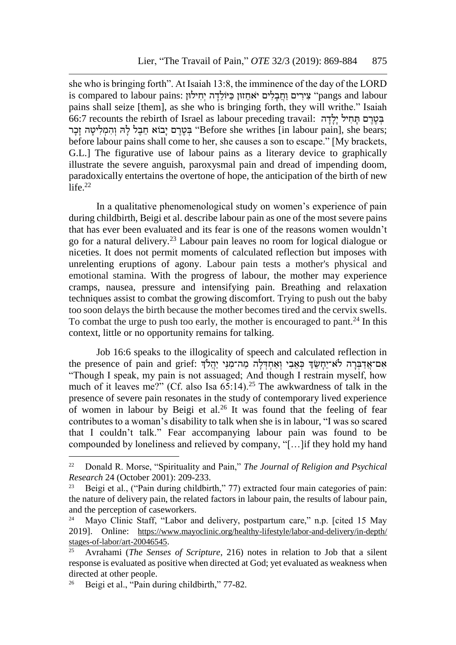she who is bringing forth". At Isaiah 13:8, the imminence of the day of the LORD is compared to labour pains: "צִירִים וַחֲבָלִים יֹאחֵזוּן כַּיּוֹלֵדָה יְחִילוּן "pangs and labour pains shall seize [them], as she who is bringing forth, they will writhe." Isaiah בְּטֶרֶם תַּחִיל יַלָּדָה :of:7 recounts the rebirth of Israel as labour preceding travail בְּטֶרֶם יָבוֹא חֵבֶל לָהּ וְהִמְלִיטָה זָכְר "Before she writhes [in labour pain], she bears; before labour pains shall come to her, she causes a son to escape." [My brackets, G.L.] The figurative use of labour pains as a literary device to graphically illustrate the severe anguish, paroxysmal pain and dread of impending doom, paradoxically entertains the overtone of hope, the anticipation of the birth of new  $l$ ife. $22$ 

In a qualitative phenomenological study on women's experience of pain during childbirth, Beigi et al. describe labour pain as one of the most severe pains that has ever been evaluated and its fear is one of the reasons women wouldn't go for a natural delivery.<sup>23</sup> Labour pain leaves no room for logical dialogue or niceties. It does not permit moments of calculated reflection but imposes with unrelenting eruptions of agony. Labour pain tests a mother's physical and emotional stamina. With the progress of labour, the mother may experience cramps, nausea, pressure and intensifying pain. Breathing and relaxation techniques assist to combat the growing discomfort. Trying to push out the baby too soon delays the birth because the mother becomes tired and the cervix swells. To combat the urge to push too early, the mother is encouraged to pant.<sup>24</sup> In this context, little or no opportunity remains for talking.

Job 16:6 speaks to the illogicality of speech and calculated reflection in אָם־אֲדַבְּרָה לֹּא־יֵחֲשֵׂךְ כִּאֲבִי וְאַחִדְלָה מַה־מִנִּי יַהֲלֹךְ :the presence of pain and grief: "Though I speak, my pain is not assuaged; And though I restrain myself, how much of it leaves me?" (Cf. also Isa  $65:14$ )<sup>25</sup> The awkwardness of talk in the presence of severe pain resonates in the study of contemporary lived experience of women in labour by Beigi et al.<sup>26</sup> It was found that the feeling of fear contributes to a woman's disability to talk when she is in labour, "I was so scared that I couldn't talk." Fear accompanying labour pain was found to be compounded by loneliness and relieved by company, "[…]if they hold my hand

<sup>22</sup> Donald R. Morse, "Spirituality and Pain," *The Journal of Religion and Psychical Research* 24 (October 2001): 209-233.

<sup>&</sup>lt;sup>23</sup> Beigi et al., ("Pain during childbirth," 77) extracted four main categories of pain: the nature of delivery pain, the related factors in labour pain, the results of labour pain, and the perception of caseworkers.

<sup>&</sup>lt;sup>24</sup> Mayo Clinic Staff, "Labor and delivery, postpartum care," n.p. [cited 15 May 2019]. Online: [https://www.mayoclinic.org/healthy-lifestyle/labor-and-delivery/in-depth/](https://www.mayoclinic.org/healthy-lifestyle/labor-and-delivery/in-depth/%20stages-of-labor/art-20046545)  [stages-of-labor/art-20046545](https://www.mayoclinic.org/healthy-lifestyle/labor-and-delivery/in-depth/%20stages-of-labor/art-20046545).

<sup>25</sup> Avrahami (*The Senses of Scripture*, 216) notes in relation to Job that a silent response is evaluated as positive when directed at God; yet evaluated as weakness when directed at other people.

<sup>26</sup> Beigi et al., "Pain during childbirth," 77-82.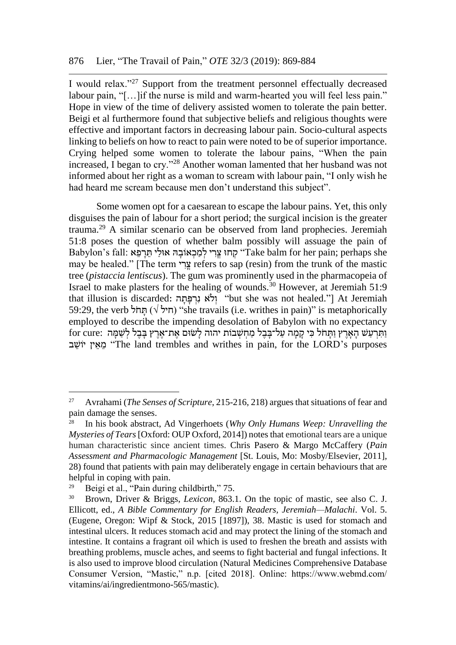I would relax."<sup>27</sup> Support from the treatment personnel effectually decreased labour pain, "[...] if the nurse is mild and warm-hearted you will feel less pain." Hope in view of the time of delivery assisted women to tolerate the pain better. Beigi et al furthermore found that subjective beliefs and religious thoughts were effective and important factors in decreasing labour pain. Socio-cultural aspects linking to beliefs on how to react to pain were noted to be of superior importance. Crying helped some women to tolerate the labour pains, "When the pain increased, I began to cry."<sup>28</sup> Another woman lamented that her husband was not informed about her right as a woman to scream with labour pain, "I only wish he had heard me scream because men don't understand this subject".

Some women opt for a caesarean to escape the labour pains. Yet, this only disguises the pain of labour for a short period; the surgical incision is the greater trauma.<sup>29</sup> A similar scenario can be observed from land prophecies. Jeremiah 51:8 poses the question of whether balm possibly will assuage the pain of Babylon's fall: קְחוּ צֵרִי לְמַכְאוֹבָהּ אוּלַי תֵּרְפֵא she "Take balm for her pain; perhaps she may be healed." [The term צרי refers to sap (resin) from the trunk of the mastic tree (*pistaccia lentiscus*). The gum was prominently used in the pharmacopeia of Israel to make plasters for the healing of wounds.<sup>30</sup> However, at Jeremiah 51:9 that illusion is discarded: ולֹא נרפּתה "but she was not healed."] At Jeremiah 59:29, the verb הול  $(\forall \forall)$  "she travails (i.e. writhes in pain)" is metaphorically employed to describe the impending desolation of Babylon with no expectancy ותּרעש הָאָרץ וּתִחֹל כֵּי קָמָה עַל־בַּבֵל מַחִשְׁבוֹת יהוה לְשִׂוּם אֶת־אָרץ בַּבֵל לִשְׁמַּה :for cure ב ֵיוש ין ֵא ֵמ" The land trembles and writhes in pain, for the LORD's purposes

<sup>27</sup> Avrahami (*The Senses of Scripture*, 215-216, 218) argues that situations of fear and pain damage the senses.

<sup>28</sup> In his book abstract, Ad Vingerhoets (*Why Only Humans Weep: Unravelling the Mysteries of Tears*[Oxford: OUP Oxford, 2014]) notes that emotional tears are a unique human characteristic since ancient times. Chris Pasero & Margo McCaffery (*Pain Assessment and Pharmacologic Management* [St. Louis, Mo: Mosby/Elsevier, 2011], 28) found that patients with pain may deliberately engage in certain behaviours that are helpful in coping with pain.

<sup>&</sup>lt;sup>29</sup> Beigi et al., "Pain during childbirth," 75.

<sup>30</sup> Brown, Driver & Briggs, *Lexicon,* 863.1. On the topic of mastic, see also C. J. Ellicott, ed., *A Bible Commentary for English Readers, Jeremiah—Malachi*. Vol. 5. (Eugene, Oregon: Wipf & Stock, 2015 [1897]), 38. Mastic is used for stomach and intestinal ulcers. It reduces stomach acid and may protect the lining of the stomach and intestine. It contains a fragrant oil which is used to freshen the breath and assists with breathing problems, muscle aches, and seems to fight bacterial and fungal infections. It is also used to improve blood circulation (Natural Medicines Comprehensive Database Consumer Version, "Mastic," n.p. [cited 2018]. Online: https://www.webmd.com/ vitamins/ai/ingredientmono-565/mastic).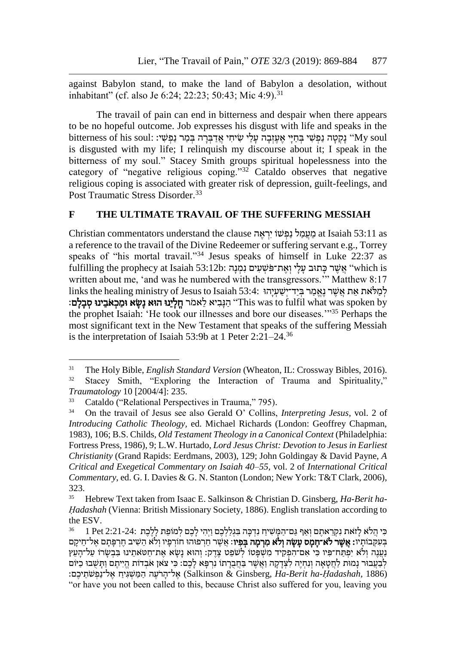against Babylon stand, to make the land of Babylon a desolation, without inhabitant" (cf. also Je 6:24; 22:23; 50:43; Mic 4:9).<sup>31</sup>

The travail of pain can end in bitterness and despair when there appears to be no hopeful outcome. Job expresses his disgust with life and speaks in the נַ נַ נַ נַ נַ הַ יִּי אֲ יָעֲזָבָה עַלִי שִׂיחִי אָדבָרה בְּמַר נִפְּשִׁי: :My soul וואַ אֲ הַיִּ אֲ עֵזָבָה ע is disgusted with my life; I relinquish my discourse about it; I speak in the bitterness of my soul." Stacey Smith groups spiritual hopelessness into the category of "negative religious coping."<sup>32</sup> Cataldo observes that negative religious coping is associated with greater risk of depression, guilt-feelings, and Post Traumatic Stress Disorder.<sup>33</sup>

#### **F THE ULTIMATE TRAVAIL OF THE SUFFERING MESSIAH**

Christian commentators understand the clause מֵ מַעֲמִל נַפְּשׁוֹ יְרָאָה at Isaiah 53:11 as a reference to the travail of the Divine Redeemer or suffering servant e.g., Torrey speaks of "his mortal travail."<sup>34</sup> Jesus speaks of himself in Luke 22:37 as fulfilling the prophecy at Isaiah 53:12b: אָשֶׁר כַּתוּב עַלִי וְאֶת־פֹּשָׁעַיִם נַמְּנָה "which is written about me, 'and was he numbered with the transgressors." Matthew 8:17 לְמַלֹּאָת אָת אַשֶׁר נַאֲמַר בִּיד־יִשְׁעַיְהוּ 53:4: inks the healing ministry of Jesus to Isaiah ל : הַנָּבִיא לֵאמֹר חֵלָיֵנוּ הוּא נַשָׂא וּמֵכְאֹבֵינוּ סִבְלָם "This was to fulfil what was spoken by the prophet Isaiah: 'He took our illnesses and bore our diseases.'"<sup>35</sup> Perhaps the most significant text in the New Testament that speaks of the suffering Messiah is the interpretation of Isaiah 53:9b at 1 Peter 2:21–24.<sup>36</sup>

l

<sup>31</sup> The Holy Bible, *English Standard Version* (Wheaton, IL: Crossway Bibles, 2016). <sup>32</sup> Stacey Smith, "Exploring the Interaction of Trauma and Spirituality," *Traumatology* 10 [2004/4]: 235.

<sup>&</sup>lt;sup>33</sup> Cataldo ("Relational Perspectives in Trauma," 795).

<sup>34</sup> On the travail of Jesus see also Gerald O' Collins, *Interpreting Jesus*, vol. 2 of *Introducing Catholic Theology,* ed. Michael Richards (London: Geoffrey Chapman, 1983), 106; B.S. Childs, *Old Testament Theology in a Canonical Context* (Philadelphia: Fortress Press, 1986), 9; L.W. Hurtado, *Lord Jesus Christ: Devotion to Jesus in Earliest Christianity* (Grand Rapids: Eerdmans, 2003), 129; John Goldingay & David Payne, *A Critical and Exegetical Commentary on Isaiah 40–55*, vol. 2 of *International Critical Commentary*, ed. G. I. Davies & G. N. Stanton (London; New York: T&T Clark, 2006), 323.

<sup>35</sup> Hebrew Text taken from Isaac E. Salkinson & Christian D. Ginsberg, *Ha-Berit ha-Ḥadashah* (Vienna: British Missionary Society, 1886). English translation according to the ESV.

כִּי הֲלֹא לַזֹּאת נִקְרֵאתֶם וְאַף גַּם־הַמַּשִׁיחַ נִדְּכָּה בְּגִלַלְבֶם וַיְהִי לַבֶם לְמוֹפֵת לַלֶּבֶת 2:21-24: 1 Pet 2:21-24 בְּעָקְבוּתַיו**: אֲשֶר לֹּא־חֲמֶס עַשָּׂה וְלֹא מִרְמֶה בְּפִיו:** אֲשֶׁר חֵרְפוּהוּ חוֹרְפַיו וְלֹא הֵשִׁיב חֵרְפַּתַם אֵל־חֵיקַם ַנְעֲנֶה וְלֹּא יִפְּתַח־פִּיו כִּי אִם־הִפְקִיד מִשְׁפָּטוֹ לְשִׁפֵט צֶדֶק: וְהוּא נָשָׂא אֶת־חַטּאתֵינוּ בִּבְשָרוֹ עַל־הָעֵץ לְבָעֲבוּר נַמוּת לַחֲטָאָה וְנִחְיֶה לִצְדָקָה וַאֲשֶׁר בַּחֲבְרָתו נִרְפָּא לַכֶם: כִּי צֹאן אֹבְדוֹת הֱיִיתֶם וַתַּשְׁבוּ כִיּוֹם (Salkinson & Ginsberg, Ha-Berit ha-Hadashah, 1886) אל־הרעה המשגיח אל־נפּשׂתיכם: "or have you not been called to this, because Christ also suffered for you, leaving you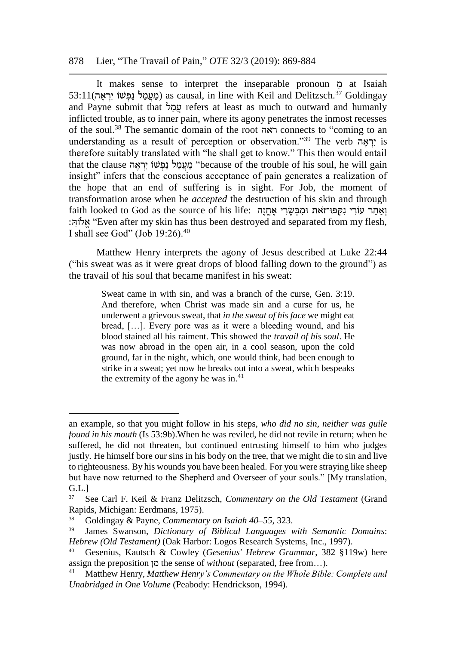#### 878 Lier, "The Travail of Pain," *OTE* 32/3 (2019): 869-884

It makes sense to interpret the inseparable pronoun ֵמ at Isaiah  $53:11$ (מֵעֲמַל נַפְּשׁוֹ יִרְאֶה) as causal, in line with Keil and Delitzsch.<sup>37</sup> Goldingay and Payne submit that עמל refers at least as much to outward and humanly inflicted trouble, as to inner pain, where its agony penetrates the inmost recesses of the soul.<sup>38</sup> The semantic domain of the root ראה connects to "coming to an understanding as a result of perception or observation."<sup>39</sup> The verb יְרָאָה is therefore suitably translated with "he shall get to know." This then would entail that the clause יראה (ווי יראה 
"because of the trouble of his soul, he will gain insight" infers that the conscious acceptance of pain generates a realization of the hope that an end of suffering is in sight. For Job, the moment of transformation arose when he *accepted* the destruction of his skin and through faith looked to God as the source of his life: וְאחר עוֹרִי נִקְפּוּ־זאת וּמִבְּשׂרִי אֶחֶזֶה :אלוה "Even after my skin has thus been destroyed and separated from my flesh, I shall see God" (Job 19:26).<sup>40</sup>

Matthew Henry interprets the agony of Jesus described at Luke 22:44 ("his sweat was as it were great drops of blood falling down to the ground") as the travail of his soul that became manifest in his sweat:

> Sweat came in with sin, and was a branch of the curse, Gen. 3:19. And therefore, when Christ was made sin and a curse for us, he underwent a grievous sweat, that *in the sweat of his face* we might eat bread, […]. Every pore was as it were a bleeding wound, and his blood stained all his raiment. This showed the *travail of his soul*. He was now abroad in the open air, in a cool season, upon the cold ground, far in the night, which, one would think, had been enough to strike in a sweat; yet now he breaks out into a sweat, which bespeaks the extremity of the agony he was in. $41$

l

an example, so that you might follow in his steps, *who did no sin, neither was guile found in his mouth* (Is 53:9b).When he was reviled, he did not revile in return; when he suffered, he did not threaten, but continued entrusting himself to him who judges justly. He himself bore our sins in his body on the tree, that we might die to sin and live to righteousness. By his wounds you have been healed. For you were straying like sheep but have now returned to the Shepherd and Overseer of your souls." [My translation, G.L.]

<sup>37</sup> See Carl F. Keil & Franz Delitzsch, *Commentary on the Old Testament* (Grand Rapids, Michigan: Eerdmans, 1975).

<sup>38</sup> Goldingay & Payne, *Commentary on Isaiah 40–55*, 323.

<sup>39</sup> James Swanson, *Dictionary of Biblical Languages with Semantic Domains*: *Hebrew (Old Testament)* (Oak Harbor: Logos Research Systems, Inc., 1997).

<sup>40</sup> Gesenius, Kautsch & Cowley (*Gesenius' Hebrew Grammar*, 382 §119w) here assign the preposition מן the sense of *without* (separated, free from...).<br><sup>41</sup> Matthew Henry *Matthew Henry's Commentary on the Whole Bible* 

<sup>41</sup> Matthew Henry, *[Matthew Henry's Commentary on the Whole Bible: Complete and](https://ref.ly/logosres/mhenry?ref=Bible.Lk22.39-46&off=7312&ctx=+with+the+angel.%0a3.+~That%2c+in+this+agony%2c)  [Unabridged in One Volume](https://ref.ly/logosres/mhenry?ref=Bible.Lk22.39-46&off=7312&ctx=+with+the+angel.%0a3.+~That%2c+in+this+agony%2c)* (Peabody: Hendrickson, 1994).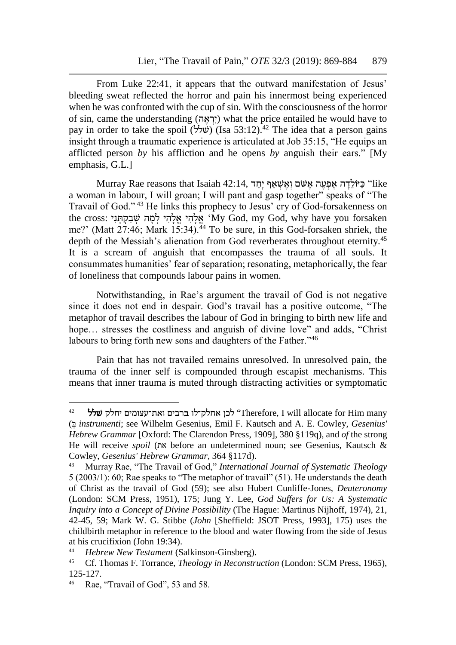From Luke 22:41, it appears that the outward manifestation of Jesus' bleeding sweat reflected the horror and pain his innermost being experienced when he was confronted with the cup of sin. With the consciousness of the horror of sin, came the understanding (יְרָאָה) what the price entailed he would have to pay in order to take the spoil (שלל) (Isa 53:12).<sup>42</sup> The idea that a person gains insight through a traumatic experience is articulated at Job 35:15, "He equips an afflicted person *by* his affliction and he opens *by* anguish their ears." [My emphasis, G.L.]

Murray Rae reasons that Isaiah 42:14, בַּיּוֹלֵדָה אֱפְּעֵה אֲשׁם וְאֵשְׁאַף יָחַד "like a woman in labour, I will groan; I will pant and gasp together" speaks of "The Travail of God." <sup>43</sup> He links this prophecy to Jesus' cry of God-forsakenness on the cross: אֵלהי אלהי למה שבקתּני iny God, my God, why have you forsaken me?' (Matt  $27:46$ ; Mark  $15:34$ ).<sup>44</sup> To be sure, in this God-forsaken shriek, the depth of the Messiah's alienation from God reverberates throughout eternity.<sup>45</sup> It is a scream of anguish that encompasses the trauma of all souls. It consummates humanities' fear of separation; resonating, metaphorically, the fear of loneliness that compounds labour pains in women.

Notwithstanding, in Rae's argument the travail of God is not negative since it does not end in despair. God's travail has a positive outcome, "The metaphor of travail describes the labour of God in bringing to birth new life and hope... stresses the costliness and anguish of divine love" and adds, "Christ" labours to bring forth new sons and daughters of the Father."<sup>46</sup>

Pain that has not travailed remains unresolved. In unresolved pain, the trauma of the inner self is compounded through escapist mechanisms. This means that inner trauma is muted through distracting activities or symptomatic

<sup>42</sup> שלל יחלק ואת־עצומים ברבים אחלק־לו לכן" Therefore, I will allocate for Him many ( ְּב *instrumenti*; see Wilhelm Gesenius, Emil F. Kautsch and A. E. Cowley, *Gesenius' Hebrew Grammar* [Oxford: The Clarendon Press, 1909], 380 §119q), and *of* the strong He will receive *spoil* (את before an undetermined noun; see Gesenius, Kautsch & Cowley, *Gesenius' Hebrew Grammar*, 364 §117d).

<sup>43</sup> Murray Rae, "The Travail of God," *International Journal of Systematic Theology* 5 (2003/1): 60; Rae speaks to "The metaphor of travail" (51). He understands the death of Christ as the travail of God (59); see also Hubert Cunliffe-Jones, *Deuteronomy*  (London: SCM Press, 1951), 175; Jung Y. Lee, *God Suffers for Us: A Systematic Inquiry into a Concept of Divine Possibility* (The Hague: Martinus Nijhoff, 1974), 21, 42-45, 59; Mark W. G. Stibbe (*John* [Sheffield: JSOT Press, 1993], 175) uses the childbirth metaphor in reference to the blood and water flowing from the side of Jesus at his crucifixion (John 19:34).

<sup>44</sup> *Hebrew New Testament* (Salkinson-Ginsberg).

<sup>45</sup> Cf. Thomas F. Torrance, *Theology in Reconstruction* (London: SCM Press, 1965), 125-127.

<sup>&</sup>lt;sup>46</sup> Rae, "Travail of God", 53 and 58.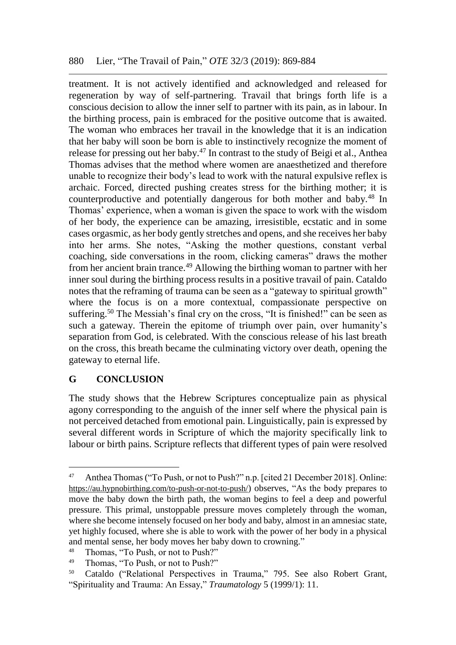treatment. It is not actively identified and acknowledged and released for regeneration by way of self-partnering. Travail that brings forth life is a conscious decision to allow the inner self to partner with its pain, as in labour. In the birthing process, pain is embraced for the positive outcome that is awaited. The woman who embraces her travail in the knowledge that it is an indication that her baby will soon be born is able to instinctively recognize the moment of release for pressing out her baby.<sup>47</sup> In contrast to the study of Beigi et al., Anthea Thomas advises that the method where women are anaesthetized and therefore unable to recognize their body's lead to work with the natural expulsive reflex is archaic. Forced, directed pushing creates stress for the birthing mother; it is counterproductive and potentially dangerous for both mother and baby.<sup>48</sup> In Thomas' experience, when a woman is given the space to work with the wisdom of her body, the experience can be amazing, irresistible, ecstatic and in some cases orgasmic, as her body gently stretches and opens, and she receives her baby into her arms. She notes, "Asking the mother questions, constant verbal coaching, side conversations in the room, clicking cameras" draws the mother from her ancient brain trance.<sup>49</sup> Allowing the birthing woman to partner with her inner soul during the birthing process results in a positive travail of pain. Cataldo notes that the reframing of trauma can be seen as a "gateway to spiritual growth" where the focus is on a more contextual, compassionate perspective on suffering.<sup>50</sup> The Messiah's final cry on the cross, "It is finished!" can be seen as such a gateway. Therein the epitome of triumph over pain, over humanity's separation from God, is celebrated. With the conscious release of his last breath on the cross, this breath became the culminating victory over death, opening the gateway to eternal life.

## **G CONCLUSION**

The study shows that the Hebrew Scriptures conceptualize pain as physical agony corresponding to the anguish of the inner self where the physical pain is not perceived detached from emotional pain. Linguistically, pain is expressed by several different words in Scripture of which the majority specifically link to labour or birth pains. Scripture reflects that different types of pain were resolved

<sup>47</sup> Anthea Thomas("To Push, or not to Push?" n.p. [cited 21 December 2018]. Online: <https://au.hypnobirthing.com/to-push-or-not-to-push/>) observes, "As the body prepares to move the baby down the birth path, the woman begins to feel a deep and powerful pressure. This primal, unstoppable pressure moves completely through the woman, where she become intensely focused on her body and baby, almost in an amnesiac state, yet highly focused, where she is able to work with the power of her body in a physical and mental sense, her body moves her baby down to crowning."

<sup>48</sup> Thomas, "To Push, or not to Push?"

<sup>49</sup> Thomas, "To Push, or not to Push?"

<sup>50</sup> Cataldo ("Relational Perspectives in Trauma," 795. See also Robert Grant, "Spirituality and Trauma: An Essay," *Traumatology* 5 (1999/1): 11.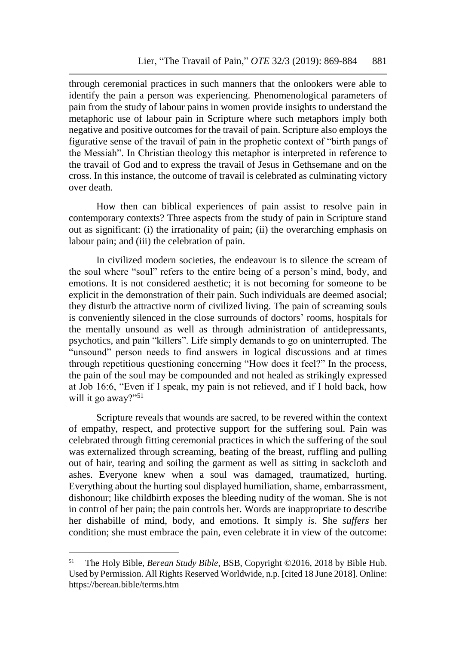through ceremonial practices in such manners that the onlookers were able to identify the pain a person was experiencing. Phenomenological parameters of pain from the study of labour pains in women provide insights to understand the metaphoric use of labour pain in Scripture where such metaphors imply both negative and positive outcomes for the travail of pain. Scripture also employs the figurative sense of the travail of pain in the prophetic context of "birth pangs of the Messiah". In Christian theology this metaphor is interpreted in reference to the travail of God and to express the travail of Jesus in Gethsemane and on the cross. In this instance, the outcome of travail is celebrated as culminating victory over death.

How then can biblical experiences of pain assist to resolve pain in contemporary contexts? Three aspects from the study of pain in Scripture stand out as significant: (i) the irrationality of pain; (ii) the overarching emphasis on labour pain; and (iii) the celebration of pain.

In civilized modern societies, the endeavour is to silence the scream of the soul where "soul" refers to the entire being of a person's mind, body, and emotions. It is not considered aesthetic; it is not becoming for someone to be explicit in the demonstration of their pain. Such individuals are deemed asocial; they disturb the attractive norm of civilized living. The pain of screaming souls is conveniently silenced in the close surrounds of doctors' rooms, hospitals for the mentally unsound as well as through administration of antidepressants, psychotics, and pain "killers". Life simply demands to go on uninterrupted. The "unsound" person needs to find answers in logical discussions and at times through repetitious questioning concerning "How does it feel?" In the process, the pain of the soul may be compounded and not healed as strikingly expressed at Job 16:6, "Even if I speak, my pain is not relieved, and if I hold back, how will it go away?"<sup>51</sup>

Scripture reveals that wounds are sacred, to be revered within the context of empathy, respect, and protective support for the suffering soul. Pain was celebrated through fitting ceremonial practices in which the suffering of the soul was externalized through screaming, beating of the breast, ruffling and pulling out of hair, tearing and soiling the garment as well as sitting in sackcloth and ashes. Everyone knew when a soul was damaged, traumatized, hurting. Everything about the hurting soul displayed humiliation, shame, embarrassment, dishonour; like childbirth exposes the bleeding nudity of the woman. She is not in control of her pain; the pain controls her. Words are inappropriate to describe her dishabille of mind, body, and emotions. It simply *is*. She *suffers* her condition; she must embrace the pain, even celebrate it in view of the outcome:

<sup>51</sup> The Holy Bible, *Berean Study Bible*, BSB, Copyright ©2016, 2018 by Bible Hub. Used by Permission. All Rights Reserved Worldwide, n.p. [cited 18 June 2018]. Online: https://berean.bible/terms.htm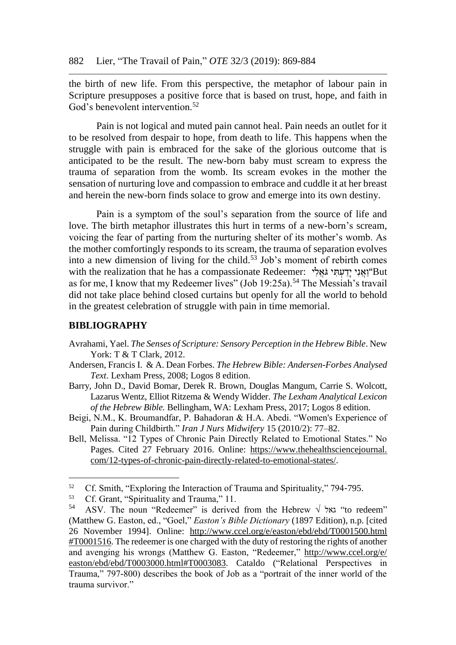the birth of new life. From this perspective, the metaphor of labour pain in Scripture presupposes a positive force that is based on trust, hope, and faith in God's benevolent intervention.<sup>52</sup>

Pain is not logical and muted pain cannot heal. Pain needs an outlet for it to be resolved from despair to hope, from death to life. This happens when the struggle with pain is embraced for the sake of the glorious outcome that is anticipated to be the result. The new-born baby must scream to express the trauma of separation from the womb. Its scream evokes in the mother the sensation of nurturing love and compassion to embrace and cuddle it at her breast and herein the new-born finds solace to grow and emerge into its own destiny.

Pain is a symptom of the soul's separation from the source of life and love. The birth metaphor illustrates this hurt in terms of a new-born's scream, voicing the fear of parting from the nurturing shelter of its mother's womb. As the mother comfortingly responds to its scream, the trauma of separation evolves into a new dimension of living for the child.<sup>53</sup> Job's moment of rebirth comes with the realization that he has a compassionate Redeemer: "וֹאני יִדעתִּי גֹאָלי as for me, I know that my Redeemer lives" (Job 19:25a).<sup>54</sup> The Messiah's travail did not take place behind closed curtains but openly for all the world to behold in the greatest celebration of struggle with pain in time memorial.

#### **BIBLIOGRAPHY**

- Avrahami, Yael. *The Senses of Scripture: Sensory Perception in the Hebrew Bible*. New York: T & T Clark, 2012.
- Andersen, Francis I. & A. Dean Forbes. *The Hebrew Bible: Andersen-Forbes Analysed Text*. Lexham Press, 2008; Logos 8 edition.
- Barry, John D., David Bomar, Derek R. Brown, Douglas Mangum, Carrie S. Wolcott, Lazarus Wentz, Elliot Ritzema & Wendy Widder. *[The Lexham Analytical Lexicon](https://ref.ly/logosres/lxhebanlex?hw=%D7%9B%D6%BC%D6%B0%D7%90%D6%B5%D7%91&off=171&ctx=ain+(emotional)+n.%2c+~emotional+distress+t)  [of the Hebrew Bible.](https://ref.ly/logosres/lxhebanlex?hw=%D7%9B%D6%BC%D6%B0%D7%90%D6%B5%D7%91&off=171&ctx=ain+(emotional)+n.%2c+~emotional+distress+t)* Bellingham, WA: Lexham Press, 2017; Logos 8 edition.
- Beigi, N.M., K. Broumandfar, P. Bahadoran & H.A. Abedi. "Women's Experience of Pain during Childbirth." *Iran J Nurs Midwifery* 15 (2010/2): 77–82.
- Bell, Melissa. "12 Types of Chronic Pain Directly Related to Emotional States." No Pages. Cited 27 February 2016. Online: [https://www.thehealthsciencejournal.](https://www.thehealthsciencejournal.com/12-types-of-chronic-pain-directly-related-to-emotional-states/) [com/12-types-of-chronic-pain-directly-related-to-emotional-states/.](https://www.thehealthsciencejournal.com/12-types-of-chronic-pain-directly-related-to-emotional-states/)

<sup>&</sup>lt;sup>52</sup> Cf. Smith, "Exploring the Interaction of Trauma and Spirituality," 794-795.

<sup>&</sup>lt;sup>53</sup> Cf. Grant, "Spirituality and Trauma," 11.<br> $^{54}$  ASV The noun "Pedeemer" is derived

ASV. The noun "Redeemer" is derived from the Hebrew  $\sqrt{x}$  "to redeem" (Matthew G. Easton, ed., "Goel," *Easton's Bible Dictionary* (1897 Edition), n.p. [cited 26 November 1994]. Online: [http://www.ccel.org/e/easton/ebd/ebd/T0001500.html](http://www.ccel.org/e/easton/ebd/ebd/T0001500.html#T0001516)  [#T0001516.](http://www.ccel.org/e/easton/ebd/ebd/T0001500.html#T0001516) The redeemer is one charged with the duty of restoring the rights of another and avenging his wrongs (Matthew G. Easton, "Redeemer," [http://www.ccel.org/e/](http://www.ccel.org/e/%20easton/ebd/ebd/T0003000.html#T0003083)  [easton/ebd/ebd/T0003000.html#T0003083.](http://www.ccel.org/e/%20easton/ebd/ebd/T0003000.html#T0003083) Cataldo ("Relational Perspectives in Trauma," 797-800) describes the book of Job as a "portrait of the inner world of the trauma survivor."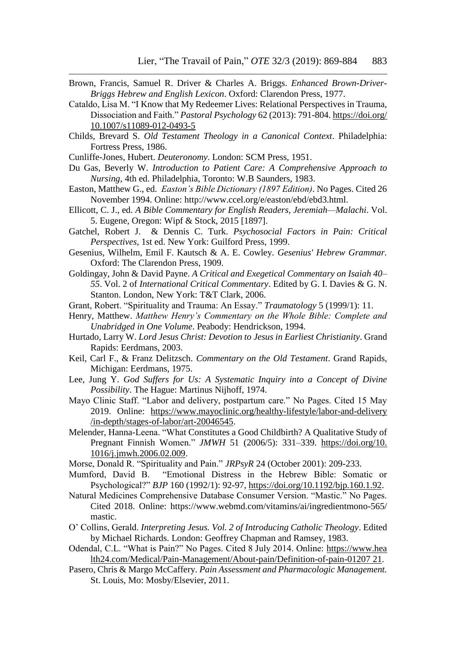- Brown, Francis, Samuel R. Driver & Charles A. Briggs. *[Enhanced Brown-Driver-](https://ref.ly/logosres/bdb?ref=BrownDriverBriggs.BDB+753.2&off=585&ctx=%D7%99%D6%B4%D7%A9%D7%81%D6%B0%D7%A2%D6%B4%D7%99+%D7%95%D6%BC%D7%9B%D6%B0%D7%91%D6%B9%D7%93%D6%B4%D7%99.%0a~d.+%D7%A2%D7%9C+is+used+idiom.)[Briggs Hebrew and English Lexicon](https://ref.ly/logosres/bdb?ref=BrownDriverBriggs.BDB+753.2&off=585&ctx=%D7%99%D6%B4%D7%A9%D7%81%D6%B0%D7%A2%D6%B4%D7%99+%D7%95%D6%BC%D7%9B%D6%B0%D7%91%D6%B9%D7%93%D6%B4%D7%99.%0a~d.+%D7%A2%D7%9C+is+used+idiom.)*. Oxford: Clarendon Press, 1977.
- Cataldo, Lisa M. "I Know that My Redeemer Lives: Relational Perspectives in Trauma, Dissociation and Faith." *Pastoral Psychology* 62 (2013): 791-804[. https://doi.org/](https://doi.org/%2010.1007/s11089-012-0493-5)  [10.1007/s11089-012-0493-5](https://doi.org/%2010.1007/s11089-012-0493-5)
- Childs, Brevard S. *Old Testament Theology in a Canonical Context*. Philadelphia: Fortress Press, 1986.
- Cunliffe-Jones, Hubert. *Deuteronomy*. London: SCM Press, 1951.
- Du Gas, Beverly W. *Introduction to Patient Care: A Comprehensive Approach to Nursing*, 4th ed. Philadelphia, Toronto: W.B Saunders, 1983.
- Easton, Matthew G., ed. *Easton's Bible Dictionary (1897 Edition)*. No Pages. Cited 26 November 1994. Online: http://www.ccel.org/e/easton/ebd/ebd3.html.
- Ellicott, C. J., ed. *A Bible Commentary for English Readers, Jeremiah—Malachi*. Vol. 5. Eugene, Oregon: Wipf & Stock, 2015 [1897].
- Gatchel, Robert J. & Dennis C. Turk. *Psychosocial Factors in Pain: Critical Perspectives*, 1st ed. New York: Guilford Press, 1999.
- Gesenius, Wilhelm, Emil F. Kautsch & A. E. Cowley. *Gesenius' Hebrew Grammar.* Oxford: The Clarendon Press, 1909.
- Goldingay, John & David Payne. *A Critical and Exegetical Commentary on Isaiah 40– 55*. Vol. 2 of *International Critical Commentary*. Edited by G. I. Davies & G. N. Stanton. London, New York: T&T Clark, 2006.
- Grant, Robert. "Spirituality and Trauma: An Essay." *Traumatology* 5 (1999/1): 11.
- Henry, Matthew. *[Matthew Henry's Commentary on the Whole Bible: Complete and](https://ref.ly/logosres/mhenry?ref=Bible.Lk22.39-46&off=7312&ctx=+with+the+angel.%0a3.+~That%2c+in+this+agony%2c)  [Unabridged in One Volume](https://ref.ly/logosres/mhenry?ref=Bible.Lk22.39-46&off=7312&ctx=+with+the+angel.%0a3.+~That%2c+in+this+agony%2c)*. Peabody: Hendrickson, 1994.
- Hurtado, Larry W. *Lord Jesus Christ: Devotion to Jesus in Earliest Christianity*. Grand Rapids: Eerdmans, 2003.
- Keil, Carl F., & Franz Delitzsch. *Commentary on the Old Testament*. Grand Rapids, Michigan: Eerdmans, 1975.
- Lee, Jung Y. *God Suffers for Us: A Systematic Inquiry into a Concept of Divine Possibility*. The Hague: Martinus Nijhoff, 1974.
- Mayo Clinic Staff. "Labor and delivery, postpartum care." No Pages. Cited 15 May 2019. Online: [https://www.mayoclinic.org/healthy-lifestyle/labor-and-delivery](https://www.mayoclinic.org/healthy-lifestyle/labor-and-delivery%20/in-depth/stages-of-labor/art-20046545)  [/in-depth/stages-of-labor/art-20046545.](https://www.mayoclinic.org/healthy-lifestyle/labor-and-delivery%20/in-depth/stages-of-labor/art-20046545)
- Melender, Hanna-Leena. "What Constitutes a Good Childbirth? A Qualitative Study of Pregnant Finnish Women." *JMWH* 51 (2006/5): 331-339. [https://doi.org/10.](https://doi.org/10.%201016/j.jmwh.2006.02.009) [1016/j.jmwh.2006.02.009.](https://doi.org/10.%201016/j.jmwh.2006.02.009)
- Morse, Donald R. "Spirituality and Pain." *JRPsyR* 24 (October 2001): 209-233.
- Mumford, David B. "Emotional Distress in the Hebrew Bible: Somatic or Psychological?" *BJP* 160 (1992/1): 92-97, [https://doi.org/10.1192/bjp.160.1.92.](https://doi.org/10.1192/bjp.160.1.92)
- Natural Medicines Comprehensive Database Consumer Version. "Mastic." No Pages. Cited 2018. Online: https://www.webmd.com/vitamins/ai/ingredientmono-565/ mastic.
- O' Collins, Gerald. *Interpreting Jesus. Vol. 2 of Introducing Catholic Theology*. Edited by Michael Richards. London: Geoffrey Chapman and Ramsey, 1983.
- Odendal, C.L. "What is Pain?" No Pages. Cited 8 July 2014. Online: https://www.hea lth24.com/Medical/Pain-Management/About-pain/Definition-of-pain-01207 21.
- Pasero, Chris & Margo McCaffery. *Pain Assessment and Pharmacologic Management.* St. Louis, Mo: Mosby/Elsevier, 2011.